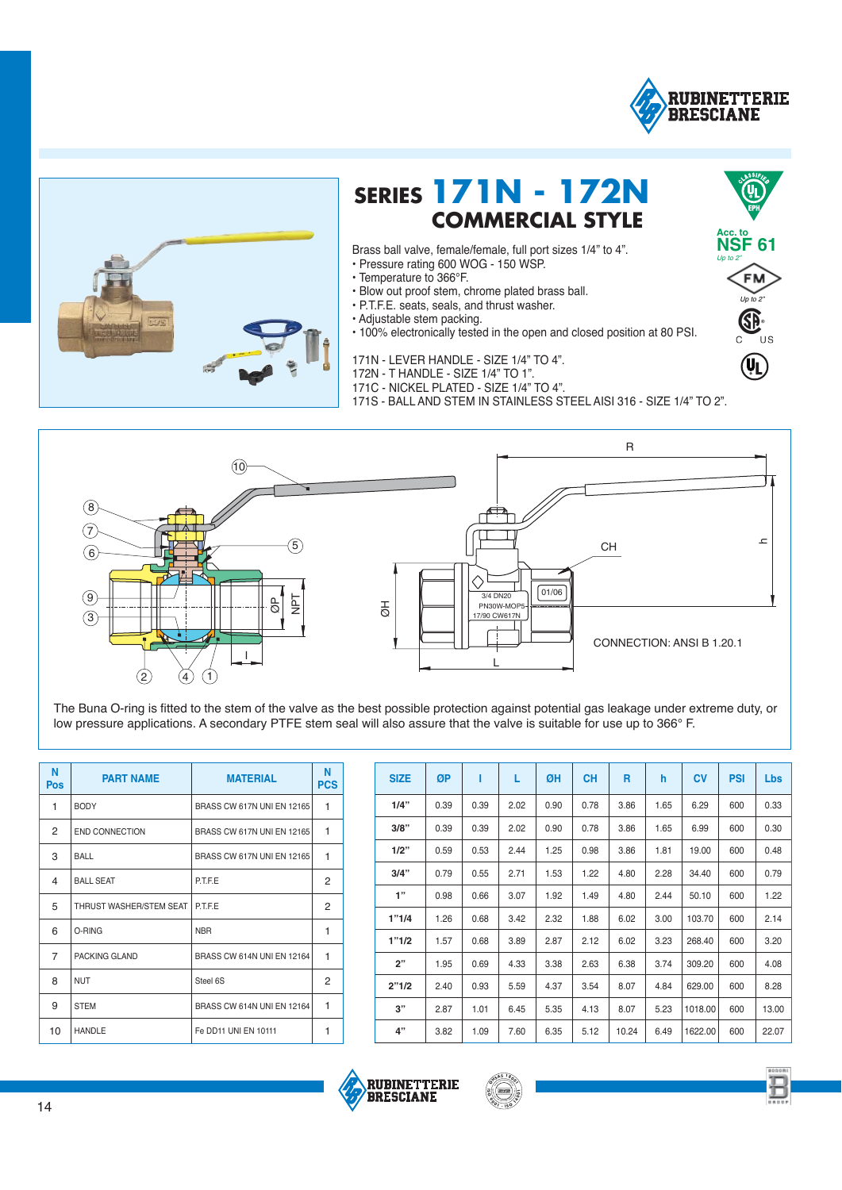

**Acc. to NSF 61** *Up to 2"*

*Up to 2"*

Œ.

 $(\mathbf{U}_\mathbf{L})$ 

FN



## **SERIES 171N - 172N**<br>COMMERCIAL STYLE

Brass ball valve, female/female, full port sizes 1/4" to 4".

- Pressure rating 600 WOG 150 WSP.
- Temperature to 366°F.
- Blow out proof stem, chrome plated brass ball.
- P.T.F.E. seats, seals, and thrust washer.
- Adjustable stem packing.
- 100% electronically tested in the open and closed position at 80 PSI.
- 171N LEVER HANDLE SIZE 1/4" TO 4".
- 172N T HANDLE SIZE 1/4" TO 1".
- 171C NICKEL PLATED SIZE 1/4" TO 4".
- 171S BALL AND STEM IN STAINLESS STEEL AISI 316 SIZE 1/4" TO 2".



The Buna O-ring is fitted to the stem of the valve as the best possible protection against potential gas leakage under extreme duty, or low pressure applications. A secondary PTFE stem seal will also assure that the valve is suitable for use up to 366° F.

| N<br><b>Pos</b> | <b>PART NAME</b>        | <b>MATERIAL</b>            | N<br><b>PCS</b> |
|-----------------|-------------------------|----------------------------|-----------------|
| 1               | <b>BODY</b>             | BRASS CW 617N UNI EN 12165 | 1               |
| 2               | <b>END CONNECTION</b>   | BRASS CW 617N UNI EN 12165 | 1               |
| 3               | BALL                    | BRASS CW 617N UNI EN 12165 | 1               |
| 4               | <b>BALL SEAT</b>        | <b>P.T.F.E</b>             | 2               |
| 5               | THRUST WASHER/STEM SEAT | <b>P.T.F.E</b>             | 2               |
| 6               | O-RING                  | <b>NBR</b>                 | 1               |
| $\overline{7}$  | PACKING GLAND           | BRASS CW 614N UNI EN 12164 | 1               |
| 8               | <b>NUT</b>              | Steel 6S                   | 2               |
| 9               | <b>STEM</b>             | BRASS CW 614N UNI EN 12164 | 1               |
| 10              | <b>HANDLE</b>           | Fe DD11 UNI EN 10111       | 1               |

| <b>SIZE</b> | ØP   | ı    | L    | ØΗ   | <b>CH</b> | R     | h    | <b>CV</b> | <b>PSI</b> | <b>Lbs</b> |
|-------------|------|------|------|------|-----------|-------|------|-----------|------------|------------|
| 1/4"        | 0.39 | 0.39 | 2.02 | 0.90 | 0.78      | 3.86  | 1.65 | 6.29      | 600        | 0.33       |
| 3/8"        | 0.39 | 0.39 | 2.02 | 0.90 | 0.78      | 3.86  | 1.65 | 6.99      | 600        | 0.30       |
| 1/2"        | 0.59 | 0.53 | 2.44 | 1.25 | 0.98      | 3.86  | 1.81 | 19.00     | 600        | 0.48       |
| 3/4"        | 0.79 | 0.55 | 2.71 | 1.53 | 1.22      | 4.80  | 2.28 | 34.40     | 600        | 0.79       |
| 1"          | 0.98 | 0.66 | 3.07 | 1.92 | 1.49      | 4.80  | 2.44 | 50.10     | 600        | 1.22       |
| 1"1/4       | 1.26 | 0.68 | 3.42 | 2.32 | 1.88      | 6.02  | 3.00 | 103.70    | 600        | 2.14       |
| 1"1/2       | 1.57 | 0.68 | 3.89 | 2.87 | 2.12      | 6.02  | 3.23 | 268.40    | 600        | 3.20       |
| 2"          | 1.95 | 0.69 | 4.33 | 3.38 | 2.63      | 6.38  | 3.74 | 309.20    | 600        | 4.08       |
| 2"1/2       | 2.40 | 0.93 | 5.59 | 4.37 | 3.54      | 8.07  | 4.84 | 629.00    | 600        | 8.28       |
| 3"          | 2.87 | 1.01 | 6.45 | 5.35 | 4.13      | 8.07  | 5.23 | 1018.00   | 600        | 13.00      |
| 4"          | 3.82 | 1.09 | 7.60 | 6.35 | 5.12      | 10.24 | 6.49 | 1622.00   | 600        | 22.07      |







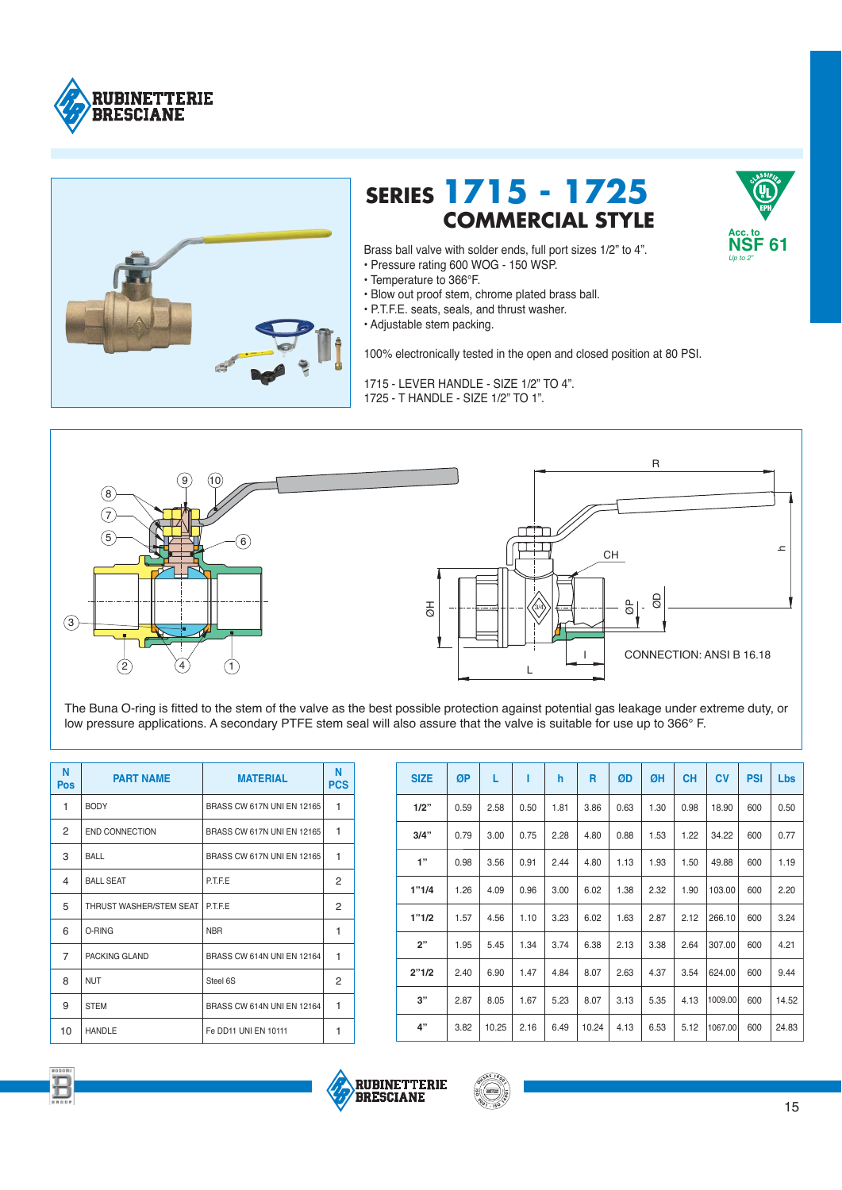



## **SERIES 1715 - 1725 COMMERCIAL STYLE**



- Temperature to 366°F.
- Blow out proof stem, chrome plated brass ball.
- P.T.F.E. seats, seals, and thrust washer.
- Adjustable stem packing.

100% electronically tested in the open and closed position at 80 PSI.

1715 - LEVER HANDLE - SIZE 1/2" TO 4". 1725 - T HANDLE - SIZE 1/2" TO 1".



The Buna O-ring is fitted to the stem of the valve as the best possible protection against potential gas leakage under extreme duty, or low pressure applications. A secondary PTFE stem seal will also assure that the valve is suitable for use up to 366° F.

| N<br>Pos       | <b>PART NAME</b>        | <b>MATERIAL</b>            | Ν<br><b>PCS</b> |
|----------------|-------------------------|----------------------------|-----------------|
| 1              | <b>BODY</b>             | BRASS CW 617N UNI EN 12165 | 1               |
| 2              | END CONNECTION          | BRASS CW 617N UNI EN 12165 | 1               |
| 3              | BALL                    | BRASS CW 617N UNI EN 12165 | 1               |
| $\overline{4}$ | <b>BALL SEAT</b>        | <b>P.T.F.E</b>             | 2               |
| 5              | THRUST WASHER/STEM SEAT | <b>P.T.F.E</b>             | 2               |
| 6              | O-RING                  | <b>NBR</b>                 | 1               |
| $\overline{7}$ | PACKING GLAND           | BRASS CW 614N UNI EN 12164 | 1               |
| 8              | <b>NUT</b>              | Steel 6S                   | 2               |
| 9              | <b>STEM</b>             | BRASS CW 614N UNI EN 12164 | 1               |
| 10             | <b>HANDLE</b>           | Fe DD11 UNI EN 10111       | 1               |

| <b>SIZE</b> | ØP   | L     | ı    | h    | R     | ØD   | ØΗ   | <b>CH</b> | <b>CV</b> | <b>PSI</b> | Lbs   |
|-------------|------|-------|------|------|-------|------|------|-----------|-----------|------------|-------|
| 1/2"        | 0.59 | 2.58  | 0.50 | 1.81 | 3.86  | 0.63 | 1.30 | 0.98      | 18.90     | 600        | 0.50  |
| 3/4"        | 0.79 | 3.00  | 0.75 | 2.28 | 4.80  | 0.88 | 1.53 | 1.22      | 34.22     | 600        | 0.77  |
| 1"          | 0.98 | 3.56  | 0.91 | 2.44 | 4.80  | 1.13 | 1.93 | 1.50      | 49.88     | 600        | 1.19  |
| 1"1/4       | 1.26 | 4.09  | 0.96 | 3.00 | 6.02  | 1.38 | 2.32 | 1.90      | 103.00    | 600        | 2.20  |
| 1"1/2       | 1.57 | 4.56  | 1.10 | 3.23 | 6.02  | 1.63 | 2.87 | 2.12      | 266.10    | 600        | 3.24  |
| 2"          | 1.95 | 5.45  | 1.34 | 3.74 | 6.38  | 2.13 | 3.38 | 2.64      | 307.00    | 600        | 4.21  |
| 2"1/2       | 2.40 | 6.90  | 1.47 | 4.84 | 8.07  | 2.63 | 4.37 | 3.54      | 624.00    | 600        | 9.44  |
| 3"          | 2.87 | 8.05  | 1.67 | 5.23 | 8.07  | 3.13 | 5.35 | 4.13      | 1009.00   | 600        | 14.52 |
| 4"          | 3.82 | 10.25 | 2.16 | 6.49 | 10.24 | 4.13 | 6.53 | 5.12      | 1067.00   | 600        | 24.83 |







**Acc. to NSF 61** *Up to 2"*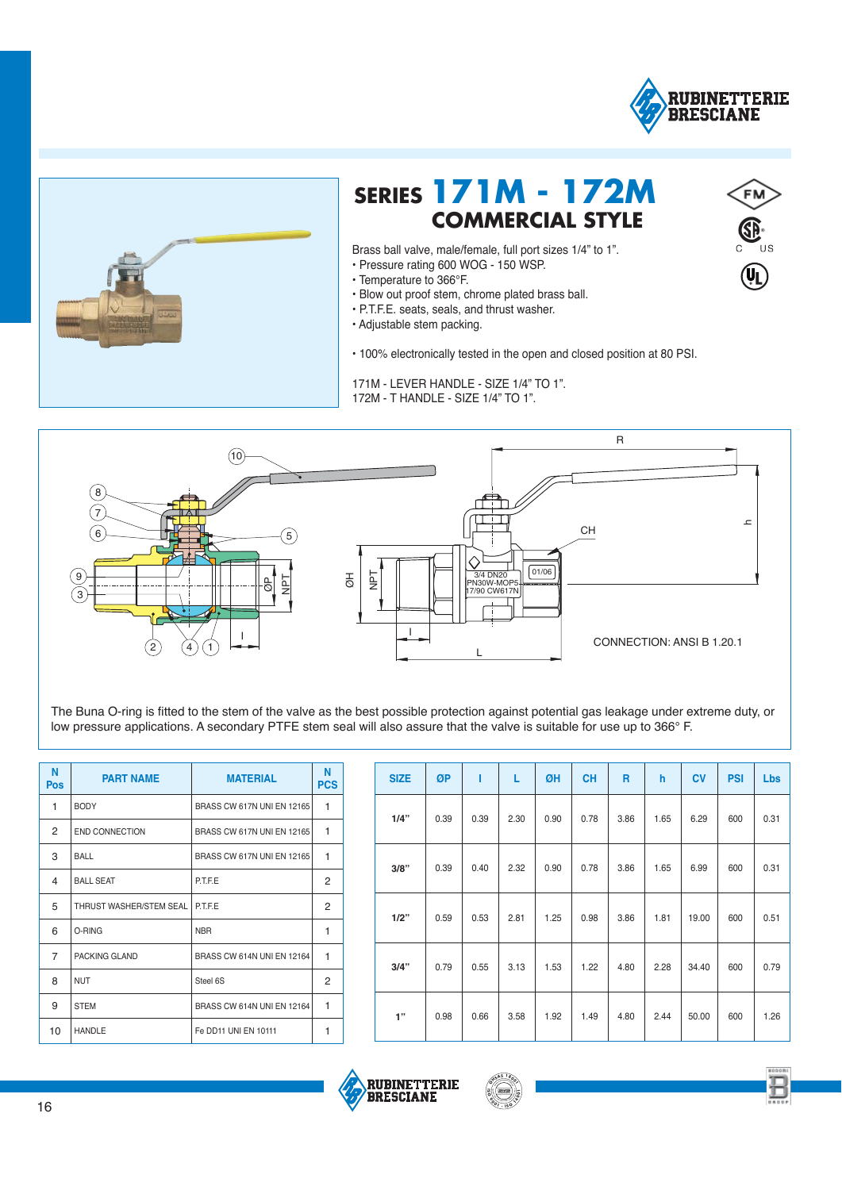

 $\mathbf{u}_\mathbf{I}$ 



## **SERIES 171M - 172M COMMERCIAL STYLE**

Brass ball valve, male/female, full port sizes 1/4" to 1".

- Pressure rating 600 WOG 150 WSP.
- Temperature to 366°F.
- . Blow out proof stem, chrome plated brass ball.
- · P.T.F.E. seats, seals, and thrust washer.
- · Adjustable stem packing.

. 100% electronically tested in the open and closed position at 80 PSI.

171M - LEVER HANDLE - SIZE 1/4" TO 1". 172M - T HANDLE - SIZE 1/4" TO 1".



The Buna O-ring is fitted to the stem of the valve as the best possible protection against potential gas leakage under extreme duty, or low pressure applications. A secondary PTFE stem seal will also assure that the valve is suitable for use up to 366° F.

| N<br><b>Pos</b> | <b>PART NAME</b>        | <b>MATERIAL</b>            | N<br><b>PCS</b> |
|-----------------|-------------------------|----------------------------|-----------------|
| 1               | <b>BODY</b>             | BRASS CW 617N UNI EN 12165 | 1               |
| 2               | END CONNECTION          | BRASS CW 617N UNI EN 12165 | 1               |
| 3               | BALL                    | BRASS CW 617N UNI EN 12165 | 1               |
| 4               | <b>BALL SEAT</b>        | <b>P.T.F.E</b>             | 2               |
| 5               | THRUST WASHER/STEM SEAL | <b>P.T.F.E</b>             | 2               |
| 6               | O-RING                  | <b>NBR</b>                 | 1               |
| $\overline{7}$  | PACKING GLAND           | BRASS CW 614N UNI EN 12164 | 1               |
| 8               | <b>NUT</b>              | Steel 6S                   | 2               |
| 9               | <b>STEM</b>             | BRASS CW 614N UNI EN 12164 | 1               |
| 10              | <b>HANDLE</b>           | Fe DD11 UNI EN 10111       | 1               |

| <b>SIZE</b> | ØP   | T    | L    | ØH   | <b>CH</b> | R    | h    | <b>CV</b> | <b>PSI</b> | Lbs  |
|-------------|------|------|------|------|-----------|------|------|-----------|------------|------|
| 1/4"        | 0.39 | 0.39 | 2.30 | 0.90 | 0.78      | 3.86 | 1.65 | 6.29      | 600        | 0.31 |
| 3/8"        | 0.39 | 0.40 | 2.32 | 0.90 | 0.78      | 3.86 | 1.65 | 6.99      | 600        | 0.31 |
| 1/2"        | 0.59 | 0.53 | 2.81 | 1.25 | 0.98      | 3.86 | 1.81 | 19.00     | 600        | 0.51 |
| 3/4"        | 0.79 | 0.55 | 3.13 | 1.53 | 1.22      | 4.80 | 2.28 | 34.40     | 600        | 0.79 |
| 1"          | 0.98 | 0.66 | 3.58 | 1.92 | 1.49      | 4.80 | 2.44 | 50.00     | 600        | 1.26 |